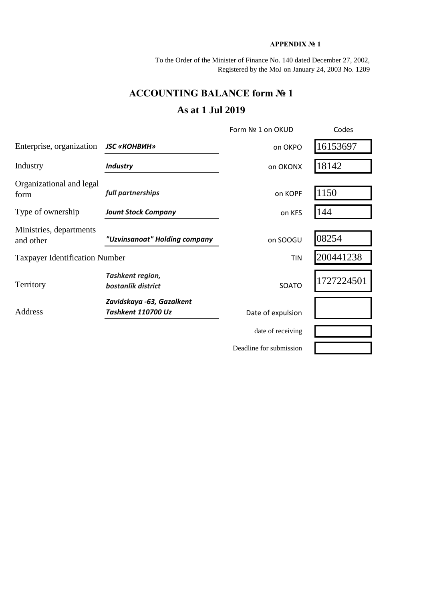## **APPENDIX № 1**

To the Order of the Minister of Finance No. 140 dated December 27, 2002, Registered by the MoJ on January 24, 2003 No. 1209

## **ACCOUNTING BALANCE form № 1**

## **As at 1 Jul 2019**

|                                                            |                                        | Form Nº 1 on OKUD       | Codes      |
|------------------------------------------------------------|----------------------------------------|-------------------------|------------|
| Enterprise, organization                                   | <b>JSC «КОНВИН»</b>                    | on OKPO                 | 16153697   |
| Industry                                                   | <b>Industry</b>                        | on OKONX                | 18142      |
| Organizational and legal<br>form                           | full partnerships                      | on KOPF                 | 1150       |
| Type of ownership                                          | <b>Jount Stock Company</b>             | on KFS                  | 144        |
| Ministries, departments<br>and other                       | "Uzvinsanoat" Holding company          | on SOOGU                | 08254      |
| <b>Taxpayer Identification Number</b>                      |                                        | TIN                     | 200441238  |
| Territory                                                  | Tashkent region,<br>bostanlik district | SOATO                   | 1727224501 |
| Zavidskaya -63, Gazalkent<br>Address<br>Tashkent 110700 Uz |                                        | Date of expulsion       |            |
|                                                            |                                        | date of receiving       |            |
|                                                            |                                        | Deadline for submission |            |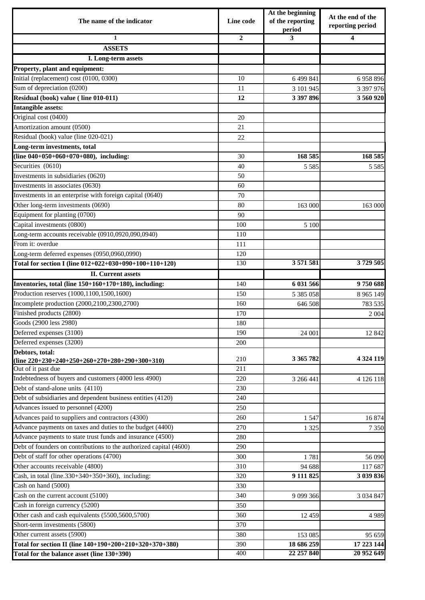| The name of the indicator                                          | Line code      | At the beginning<br>of the reporting<br>period | At the end of the<br>reporting period |  |
|--------------------------------------------------------------------|----------------|------------------------------------------------|---------------------------------------|--|
| $\mathbf{1}$                                                       | $\overline{2}$ | 3                                              | 4                                     |  |
| <b>ASSETS</b>                                                      |                |                                                |                                       |  |
| I. Long-term assets                                                |                |                                                |                                       |  |
| Property, plant and equipment:                                     |                |                                                |                                       |  |
| Initial (replacement) cost (0100, 0300)                            | 10             | 6 499 841                                      | 6958896                               |  |
| Sum of depreciation (0200)                                         | 11             | 3 101 945                                      | 3 397 976                             |  |
| Residual (book) value (line 010-011)                               | 12             | 3 397 896                                      | 3 560 920                             |  |
| <b>Intangible assets:</b>                                          |                |                                                |                                       |  |
| Original cost (0400)                                               | 20             |                                                |                                       |  |
| Amortization amount (0500)                                         | 21             |                                                |                                       |  |
| Residual (book) value (line 020-021)                               | 22             |                                                |                                       |  |
| Long-term investments, total                                       |                |                                                |                                       |  |
| (line $040+050+060+070+080$ ), including:                          | 30             | 168 585                                        | 168 585                               |  |
| Securities (0610)                                                  | 40             | 5 5 8 5                                        | 5 5 8 5                               |  |
| Investments in subsidiaries (0620)                                 | 50             |                                                |                                       |  |
| Investments in associates (0630)                                   | 60             |                                                |                                       |  |
| Investments in an enterprise with foreign capital (0640)           | 70             |                                                |                                       |  |
| Other long-term investments (0690)                                 | 80             | 163 000                                        | 163 000                               |  |
| Equipment for planting (0700)                                      | 90             |                                                |                                       |  |
| Capital investments (0800)                                         | 100            | 5 100                                          |                                       |  |
| Long-term accounts receivable (0910,0920,090,0940)                 | 110            |                                                |                                       |  |
| From it: overdue                                                   | 111            |                                                |                                       |  |
| Long-term deferred expenses (0950,0960,0990)                       | 120            |                                                |                                       |  |
| Total for section I (line 012+022+030+090+100+110+120)             | 130            | 3 571 581                                      | 3729 505                              |  |
| <b>II.</b> Current assets                                          |                |                                                |                                       |  |
| Inventories, total (line 150+160+170+180), including:              | 140            | 6 031 566                                      | 9750688                               |  |
| Production reserves (1000,1100,1500,1600)                          | 150            | 5 385 058                                      | 8 9 65 149                            |  |
| Incomplete production (2000,2100,2300,2700)                        | 160            | 646 508                                        | 783 535                               |  |
| Finished products (2800)                                           | 170            |                                                | 2 0 0 4                               |  |
| Goods (2900 less 2980)                                             | 180            |                                                |                                       |  |
| Deferred expenses (3100)                                           | 190            | 24 001                                         | 12 842                                |  |
| Deferred expenses (3200)                                           | 200            |                                                |                                       |  |
| Debtors, total:                                                    |                |                                                |                                       |  |
| (line $220+230+240+250+260+270+280+290+300+310$ )                  | 210            | 3 365 782                                      | 4 3 24 1 19                           |  |
| Out of it past due                                                 | 211            |                                                |                                       |  |
| Indebtedness of buyers and customers (4000 less 4900)              | 220            | 3 266 441                                      | 4 126 118                             |  |
| Debt of stand-alone units (4110)                                   | 230            |                                                |                                       |  |
| Debt of subsidiaries and dependent business entities (4120)        | 240            |                                                |                                       |  |
| Advances issued to personnel (4200)                                | 250            |                                                |                                       |  |
| Advances paid to suppliers and contractors (4300)                  | 260            | 1 5 4 7                                        | 16 874                                |  |
| Advance payments on taxes and duties to the budget (4400)          | 270            | 1 3 2 5                                        | 7 3 5 0                               |  |
| Advance payments to state trust funds and insurance (4500)         | 280            |                                                |                                       |  |
| Debt of founders on contributions to the authorized capital (4600) | 290            |                                                |                                       |  |
| Debt of staff for other operations (4700)                          | 300            | 1781                                           | 56 090                                |  |
| Other accounts receivable (4800)                                   | 310            | 94 688                                         | 117 687                               |  |
| Cash, in total (line.330+340+350+360), including:                  | 320            | 9 111 825                                      | 3 039 836                             |  |
| Cash on hand (5000)                                                | 330            |                                                |                                       |  |
| Cash on the current account (5100)                                 | 340            | 9 0 9 3 6 6                                    | 3 0 3 4 8 4 7                         |  |
| Cash in foreign currency (5200)                                    | 350            |                                                |                                       |  |
| Other cash and cash equivalents (5500,5600,5700)                   | 360            | 12 4 5 9                                       | 4 9 8 9                               |  |
| Short-term investments (5800)                                      | 370            |                                                |                                       |  |
| Other current assets (5900)                                        | 380            | 153 085                                        | 95 659                                |  |
| Total for section II (line 140+190+200+210+320+370+380)            | 390            | 18 686 259                                     | 17 223 144                            |  |
| Total for the balance asset (line 130+390)                         | 400            | 22 257 840                                     | 20 952 649                            |  |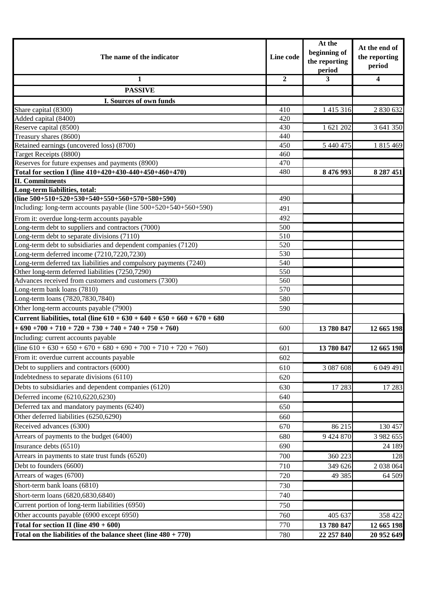| The name of the indicator                                                                                             |                | At the<br>beginning of<br>the reporting<br>period | At the end of<br>the reporting<br>period |
|-----------------------------------------------------------------------------------------------------------------------|----------------|---------------------------------------------------|------------------------------------------|
| 1                                                                                                                     | $\overline{2}$ | 3                                                 | $\overline{\mathbf{4}}$                  |
| <b>PASSIVE</b>                                                                                                        |                |                                                   |                                          |
| I. Sources of own funds                                                                                               |                |                                                   |                                          |
| Share capital (8300)                                                                                                  | 410            | 1 415 316                                         | 2 830 632                                |
| Added capital (8400)                                                                                                  | 420            |                                                   |                                          |
| Reserve capital (8500)                                                                                                | 430            | 1 621 202                                         | 3 641 350                                |
| Treasury shares (8600)                                                                                                | 440            |                                                   |                                          |
| Retained earnings (uncovered loss) (8700)                                                                             | 450            | 5 440 475                                         | 1 815 469                                |
| Target Receipts (8800)                                                                                                | 460            |                                                   |                                          |
| Reserves for future expenses and payments (8900)                                                                      | 470            |                                                   |                                          |
| Total for section I (line 410+420+430-440+450+460+470)                                                                | 480            | 8 476 993                                         | 8 2 8 7 4 5 1                            |
| <b>II. Commitments</b>                                                                                                |                |                                                   |                                          |
| Long-term liabilities, total:                                                                                         |                |                                                   |                                          |
| (line $500+510+520+530+540+550+560+570+580+590$ )                                                                     | 490            |                                                   |                                          |
| Including: long-term accounts payable (line 500+520+540+560+590)                                                      | 491            |                                                   |                                          |
| From it: overdue long-term accounts payable                                                                           | 492            |                                                   |                                          |
| Long-term debt to suppliers and contractors (7000)                                                                    | 500            |                                                   |                                          |
| Long-term debt to separate divisions (7110)                                                                           | 510            |                                                   |                                          |
| Long-term debt to subsidiaries and dependent companies (7120)                                                         | 520            |                                                   |                                          |
| Long-term deferred income (7210,7220,7230)                                                                            | 530            |                                                   |                                          |
| Long-term deferred tax liabilities and compulsory payments (7240)<br>Other long-term deferred liabilities (7250,7290) | 540<br>550     |                                                   |                                          |
| Advances received from customers and customers (7300)                                                                 | 560            |                                                   |                                          |
| Long-term bank loans (7810)                                                                                           | 570            |                                                   |                                          |
| Long-term loans (7820,7830,7840)                                                                                      | 580            |                                                   |                                          |
| Other long-term accounts payable (7900)                                                                               | 590            |                                                   |                                          |
| Current liabilities, total (line $610 + 630 + 640 + 650 + 660 + 670 + 680$                                            |                |                                                   |                                          |
| $+690+700+710+720+730+740+740+750+760$                                                                                | 600            | 13 780 847                                        | 12 665 198                               |
| Including: current accounts payable                                                                                   |                |                                                   |                                          |
| $(line 610 + 630 + 650 + 670 + 680 + 690 + 700 + 710 + 720 + 760)$                                                    | 601            | 13 780 847                                        | 12 665 198                               |
| From it: overdue current accounts payable                                                                             |                |                                                   |                                          |
|                                                                                                                       | 602            |                                                   |                                          |
| Debt to suppliers and contractors (6000)                                                                              | 610            | 3 087 608                                         | 6 049 491                                |
| Indebtedness to separate divisions (6110)                                                                             | 620            |                                                   |                                          |
| Debts to subsidiaries and dependent companies (6120)                                                                  | 630            | 17 28 3                                           | 17 283                                   |
| Deferred income (6210,6220,6230)                                                                                      | 640            |                                                   |                                          |
| Deferred tax and mandatory payments (6240)                                                                            | 650            |                                                   |                                          |
| Other deferred liabilities (6250,6290)                                                                                | 660            |                                                   |                                          |
| Received advances (6300)                                                                                              | 670            | 86 215                                            | 130 457                                  |
| Arrears of payments to the budget (6400)                                                                              | 680            | 9 424 870                                         | 3 982 655                                |
| Insurance debts (6510)                                                                                                | 690            |                                                   | 24 189                                   |
| Arrears in payments to state trust funds (6520)                                                                       | 700            | 360 223                                           | 128                                      |
| Debt to founders (6600)                                                                                               | 710            | 349 626                                           | 2 038 064                                |
| Arrears of wages (6700)                                                                                               | 720            | 49 3 85                                           | 64 509                                   |
| Short-term bank loans (6810)                                                                                          | 730            |                                                   |                                          |
| Short-term loans (6820,6830,6840)                                                                                     | 740            |                                                   |                                          |
| Current portion of long-term liabilities (6950)                                                                       | 750            |                                                   |                                          |
| Other accounts payable (6900 except 6950)                                                                             | 760            | 405 637                                           | 358 422                                  |
| Total for section II (line $490 + 600$ )                                                                              | 770            | 13 780 847                                        | 12 665 198                               |
| Total on the liabilities of the balance sheet (line $480 + 770$ )                                                     |                | 22 257 840                                        | 20 952 649                               |